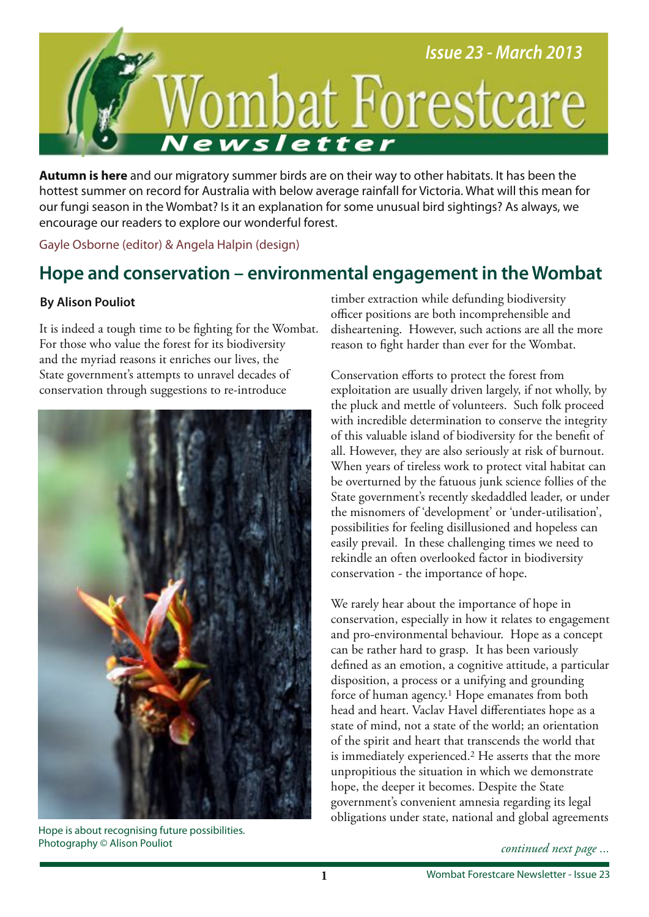

**Autumn is here** and our migratory summer birds are on their way to other habitats. It has been the hottest summer on record for Australia with below average rainfall for Victoria. What will this mean for our fungi season in the Wombat? Is it an explanation for some unusual bird sightings? As always, we encourage our readers to explore our wonderful forest.

Gayle Osborne (editor) & Angela Halpin (design)

# **Hope and conservation – environmental engagement in the Wombat**

### **By Alison Pouliot**

It is indeed a tough time to be fghting for the Wombat. For those who value the forest for its biodiversity and the myriad reasons it enriches our lives, the State government's attempts to unravel decades of conservation through suggestions to re-introduce



Hope is about recognising future possibilities. Photography © Alison Pouliot

timber extraction while defunding biodiversity officer positions are both incomprehensible and disheartening. However, such actions are all the more reason to fght harder than ever for the Wombat.

Conservation efforts to protect the forest from exploitation are usually driven largely, if not wholly, by the pluck and mettle of volunteers. Such folk proceed with incredible determination to conserve the integrity of this valuable island of biodiversity for the beneft of all. However, they are also seriously at risk of burnout. When years of tireless work to protect vital habitat can be overturned by the fatuous junk science follies of the State government's recently skedaddled leader, or under the misnomers of 'development' or 'under-utilisation', possibilities for feeling disillusioned and hopeless can easily prevail. In these challenging times we need to rekindle an often overlooked factor in biodiversity conservation - the importance of hope.

We rarely hear about the importance of hope in conservation, especially in how it relates to engagement and pro-environmental behaviour. Hope as a concept can be rather hard to grasp. It has been variously defned as an emotion, a cognitive attitude, a particular disposition, a process or a unifying and grounding force of human agency.1 Hope emanates from both head and heart. Vaclav Havel diferentiates hope as a state of mind, not a state of the world; an orientation of the spirit and heart that transcends the world that is immediately experienced.2 He asserts that the more unpropitious the situation in which we demonstrate hope, the deeper it becomes. Despite the State government's convenient amnesia regarding its legal obligations under state, national and global agreements

*continued next page ...*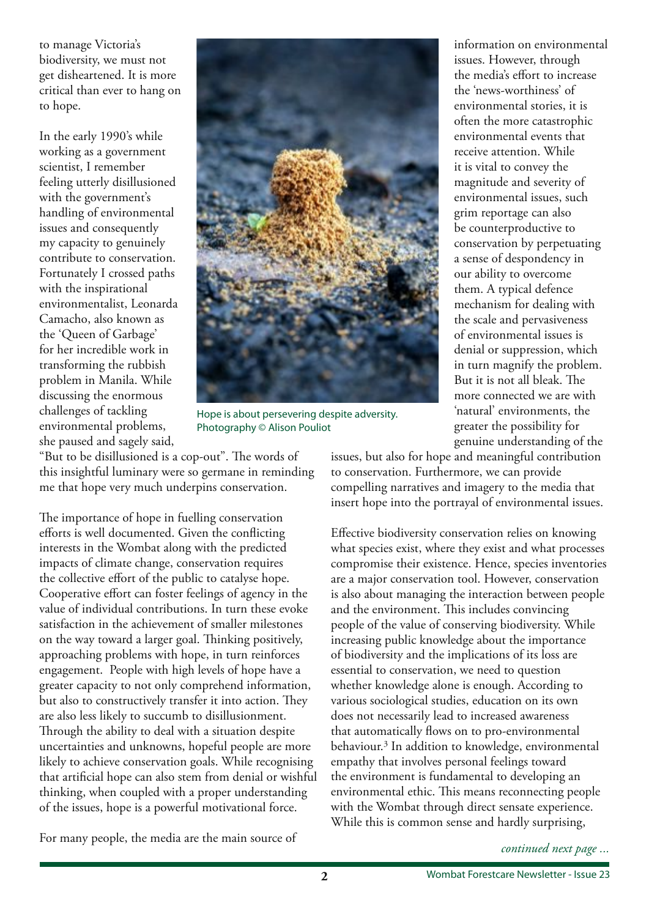to manage Victoria's biodiversity, we must not get disheartened. It is more critical than ever to hang on to hope.

In the early 1990's while working as a government scientist, I remember feeling utterly disillusioned with the government's handling of environmental issues and consequently my capacity to genuinely contribute to conservation. Fortunately I crossed paths with the inspirational environmentalist, Leonarda Camacho, also known as the 'Queen of Garbage' for her incredible work in transforming the rubbish problem in Manila. While discussing the enormous challenges of tackling environmental problems, she paused and sagely said,



Hope is about persevering despite adversity. Photography © Alison Pouliot

"But to be disillusioned is a cop-out". The words of this insightful luminary were so germane in reminding me that hope very much underpins conservation.

The importance of hope in fuelling conservation eforts is well documented. Given the conficting interests in the Wombat along with the predicted impacts of climate change, conservation requires the collective effort of the public to catalyse hope. Cooperative effort can foster feelings of agency in the value of individual contributions. In turn these evoke satisfaction in the achievement of smaller milestones on the way toward a larger goal. Thinking positively, approaching problems with hope, in turn reinforces engagement. People with high levels of hope have a greater capacity to not only comprehend information, but also to constructively transfer it into action. They are also less likely to succumb to disillusionment. Through the ability to deal with a situation despite uncertainties and unknowns, hopeful people are more likely to achieve conservation goals. While recognising that artifcial hope can also stem from denial or wishful thinking, when coupled with a proper understanding of the issues, hope is a powerful motivational force.

For many people, the media are the main source of

information on environmental issues. However, through the media's effort to increase the 'news-worthiness' of environmental stories, it is often the more catastrophic environmental events that receive attention. While it is vital to convey the magnitude and severity of environmental issues, such grim reportage can also be counterproductive to conservation by perpetuating a sense of despondency in our ability to overcome them. A typical defence mechanism for dealing with the scale and pervasiveness of environmental issues is denial or suppression, which in turn magnify the problem. But it is not all bleak. The more connected we are with 'natural' environments, the greater the possibility for genuine understanding of the

issues, but also for hope and meaningful contribution to conservation. Furthermore, we can provide compelling narratives and imagery to the media that insert hope into the portrayal of environmental issues.

Efective biodiversity conservation relies on knowing what species exist, where they exist and what processes compromise their existence. Hence, species inventories are a major conservation tool. However, conservation is also about managing the interaction between people and the environment. This includes convincing people of the value of conserving biodiversity. While increasing public knowledge about the importance of biodiversity and the implications of its loss are essential to conservation, we need to question whether knowledge alone is enough. According to various sociological studies, education on its own does not necessarily lead to increased awareness that automatically flows on to pro-environmental behaviour.3 In addition to knowledge, environmental empathy that involves personal feelings toward the environment is fundamental to developing an environmental ethic. This means reconnecting people with the Wombat through direct sensate experience. While this is common sense and hardly surprising,

*continued next page ...*